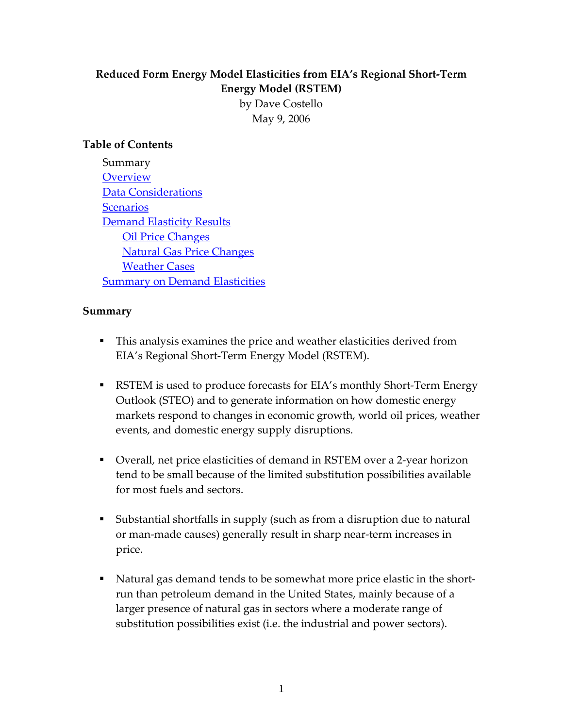# **Reduced Form Energy Model Elasticities from EIA's Regional Short‐Term Energy Model (RSTEM)**

by Dave Costello May 9, 2006

### **Table of Contents**

Summary **[Overview](#page-1-0)** Data [Considerations](#page-2-0) **[Scenarios](#page-2-0) Demand [Elasticity](#page-3-0) Results Oil Price [Changes](#page-4-0)**  Natural Gas Price [Changes](#page-6-0) [Weather](#page-7-0) Cases **Summary on Demand [Elasticities](#page-9-0)** 

#### **Summary**

- This analysis examines the price and weather elasticities derived from EIA's Regional Short‐Term Energy Model (RSTEM).
- RSTEM is used to produce forecasts for EIA's monthly Short-Term Energy Outlook (STEO) and to generate information on how domestic energy markets respond to changes in economic growth, world oil prices, weather events, and domestic energy supply disruptions.
- Overall, net price elasticities of demand in RSTEM over a 2-year horizon tend to be small because of the limited substitution possibilities available for most fuels and sectors.
- Substantial shortfalls in supply (such as from a disruption due to natural or man‐made causes) generally result in sharp near‐term increases in price.
- Natural gas demand tends to be somewhat more price elastic in the shortrun than petroleum demand in the United States, mainly because of a larger presence of natural gas in sectors where a moderate range of substitution possibilities exist (i.e. the industrial and power sectors).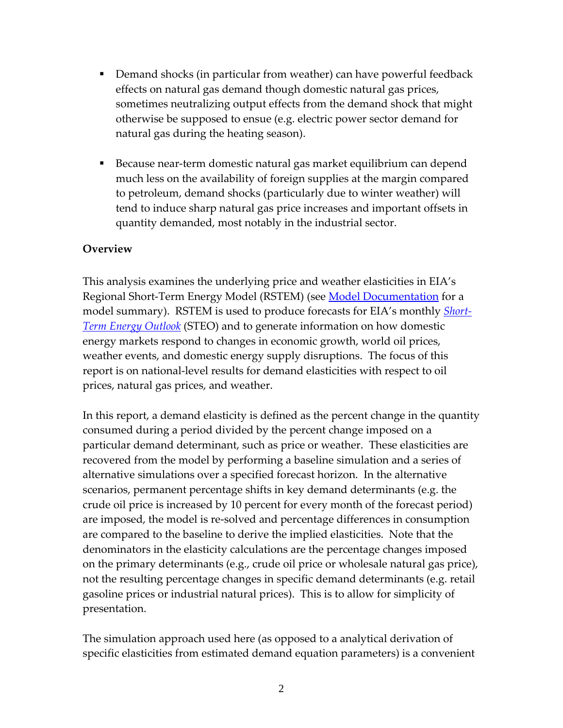- <span id="page-1-0"></span>■ Demand shocks (in particular from weather) can have powerful feedback effects on natural gas demand though domestic natural gas prices, sometimes neutralizing output effects from the demand shock that might otherwise be supposed to ensue (e.g. electric power sector demand for natural gas during the heating season).
- Because near-term domestic natural gas market equilibrium can depend much less on the availability of foreign supplies at the margin compared to petroleum, demand shocks (particularly due to winter weather) will tend to induce sharp natural gas price increases and important offsets in quantity demanded, most notably in the industrial sector.

#### **Overview**

This analysis examines the underlying price and weather elasticities in EIA's Regional Short-Term Energy Model (RSTEM) (see **Model Documentation** for a model summary). RSTEM is used to produce forecasts for EIA's monthly *Short‐ Term Energy Outlook* (STEO) and to generate information on how domestic energy markets respond to changes in economic growth, world oil prices, weather events, and domestic energy supply disruptions. The focus of this report is on national‐level results for demand elasticities with respect to oil prices, natural gas prices, and weather.

In this report, a demand elasticity is defined as the percent change in the quantity consumed during a period divided by the percent change imposed on a particular demand determinant, such as price or weather. These elasticities are recovered from the model by performing a baseline simulation and a series of alternative simulations over a specified forecast horizon. In the alternative scenarios, permanent percentage shifts in key demand determinants (e.g. the crude oil price is increased by 10 percent for every month of the forecast period) are imposed, the model is re‐solved and percentage differences in consumption are compared to the baseline to derive the implied elasticities. Note that the denominators in the elasticity calculations are the percentage changes imposed on the primary determinants (e.g., crude oil price or wholesale natural gas price), not the resulting percentage changes in specific demand determinants (e.g. retail gasoline prices or industrial natural prices). This is to allow for simplicity of presentation.

The simulation approach used here (as opposed to a analytical derivation of specific elasticities from estimated demand equation parameters) is a convenient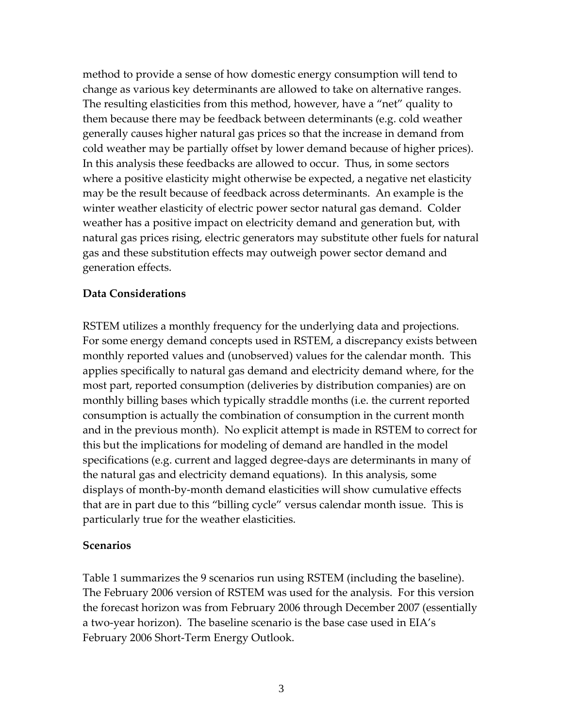<span id="page-2-0"></span>method to provide a sense of how domestic energy consumption will tend to change as various key determinants are allowed to take on alternative ranges. The resulting elasticities from this method, however, have a "net" quality to them because there may be feedback between determinants (e.g. cold weather generally causes higher natural gas prices so that the increase in demand from cold weather may be partially offset by lower demand because of higher prices). In this analysis these feedbacks are allowed to occur. Thus, in some sectors where a positive elasticity might otherwise be expected, a negative net elasticity may be the result because of feedback across determinants. An example is the winter weather elasticity of electric power sector natural gas demand. Colder weather has a positive impact on electricity demand and generation but, with natural gas prices rising, electric generators may substitute other fuels for natural gas and these substitution effects may outweigh power sector demand and generation effects.

#### **Data Considerations**

RSTEM utilizes a monthly frequency for the underlying data and projections. For some energy demand concepts used in RSTEM, a discrepancy exists between monthly reported values and (unobserved) values for the calendar month. This applies specifically to natural gas demand and electricity demand where, for the most part, reported consumption (deliveries by distribution companies) are on monthly billing bases which typically straddle months (i.e. the current reported consumption is actually the combination of consumption in the current month and in the previous month). No explicit attempt is made in RSTEM to correct for this but the implications for modeling of demand are handled in the model specifications (e.g. current and lagged degree‐days are determinants in many of the natural gas and electricity demand equations). In this analysis, some displays of month‐by‐month demand elasticities will show cumulative effects that are in part due to this "billing cycle" versus calendar month issue. This is particularly true for the weather elasticities.

#### **Scenarios**

Table 1 summarizes the 9 scenarios run using RSTEM (including the baseline). The February 2006 version of RSTEM was used for the analysis. For this version the forecast horizon was from February 2006 through December 2007 (essentially a two‐year horizon). The baseline scenario is the base case used in EIA's February 2006 Short‐Term Energy Outlook.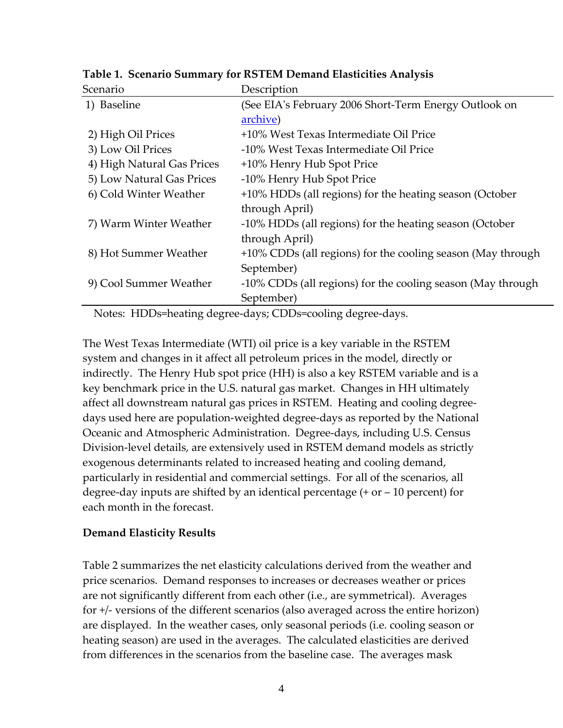| Scenario                   | Description                                                 |  |  |
|----------------------------|-------------------------------------------------------------|--|--|
| 1) Baseline                | (See EIA's February 2006 Short-Term Energy Outlook on       |  |  |
|                            | archive)                                                    |  |  |
| 2) High Oil Prices         | +10% West Texas Intermediate Oil Price                      |  |  |
| 3) Low Oil Prices          | -10% West Texas Intermediate Oil Price                      |  |  |
| 4) High Natural Gas Prices | +10% Henry Hub Spot Price                                   |  |  |
| 5) Low Natural Gas Prices  | -10% Henry Hub Spot Price                                   |  |  |
| 6) Cold Winter Weather     | +10% HDDs (all regions) for the heating season (October     |  |  |
|                            | through April)                                              |  |  |
| 7) Warm Winter Weather     | -10% HDDs (all regions) for the heating season (October     |  |  |
|                            | through April)                                              |  |  |
| 8) Hot Summer Weather      | +10% CDDs (all regions) for the cooling season (May through |  |  |
|                            | September)                                                  |  |  |
| 9) Cool Summer Weather     | -10% CDDs (all regions) for the cooling season (May through |  |  |
|                            | September)                                                  |  |  |

<span id="page-3-0"></span>**Table 1. Scenario Summary for RSTEM Demand Elasticities Analysis**

Notes: HDDs=heating degree‐days; CDDs=cooling degree‐days.

The West Texas Intermediate (WTI) oil price is a key variable in the RSTEM system and changes in it affect all petroleum prices in the model, directly or indirectly. The Henry Hub spot price (HH) is also a key RSTEM variable and is a key benchmark price in the U.S. natural gas market. Changes in HH ultimately affect all downstream natural gas prices in RSTEM. Heating and cooling degree‐ days used here are population‐weighted degree‐days as reported by the National Oceanic and Atmospheric Administration. Degree‐days, including U.S. Census Division‐level details, are extensively used in RSTEM demand models as strictly exogenous determinants related to increased heating and cooling demand, particularly in residential and commercial settings. For all of the scenarios, all degree-day inputs are shifted by an identical percentage  $(+ or - 10$  percent) for each month in the forecast.

### **Demand Elasticity Results**

Table 2 summarizes the net elasticity calculations derived from the weather and price scenarios. Demand responses to increases or decreases weather or prices are not significantly different from each other (i.e., are symmetrical). Averages for +/‐ versions of the different scenarios (also averaged across the entire horizon) are displayed. In the weather cases, only seasonal periods (i.e. cooling season or heating season) are used in the averages. The calculated elasticities are derived from differences in the scenarios from the baseline case. The averages mask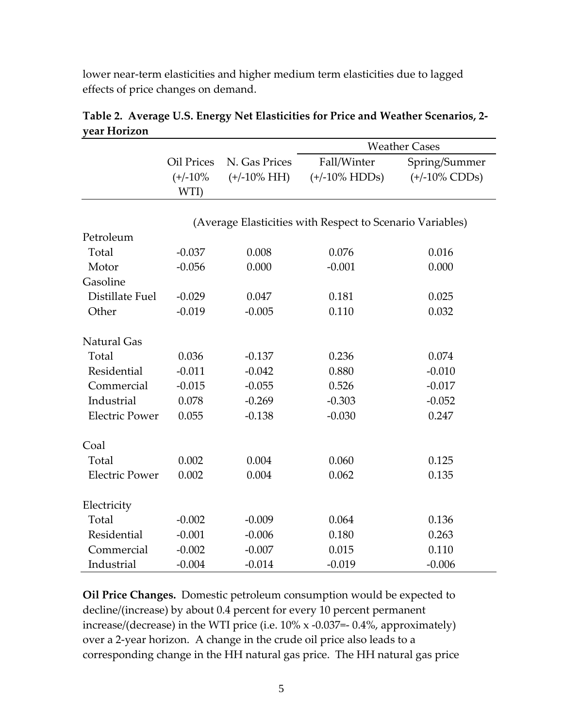<span id="page-4-0"></span>lower near-term elasticities and higher medium term elasticities due to lagged effects of price changes on demand.

|                       | <b>Oil Prices</b><br>$(+/-10%$                            | N. Gas Prices<br>$(+/-10\% \text{ HH})$ | <b>Weather Cases</b>            |                                   |  |
|-----------------------|-----------------------------------------------------------|-----------------------------------------|---------------------------------|-----------------------------------|--|
|                       |                                                           |                                         | Fall/Winter<br>$(+/-10\%$ HDDs) | Spring/Summer<br>$(+/-10\%$ CDDs) |  |
|                       |                                                           |                                         |                                 |                                   |  |
|                       | WTI)                                                      |                                         |                                 |                                   |  |
|                       |                                                           |                                         |                                 |                                   |  |
|                       | (Average Elasticities with Respect to Scenario Variables) |                                         |                                 |                                   |  |
| Petroleum             |                                                           |                                         |                                 |                                   |  |
| Total                 | $-0.037$                                                  | 0.008                                   | 0.076                           | 0.016                             |  |
| Motor                 | $-0.056$                                                  | 0.000                                   | $-0.001$                        | 0.000                             |  |
| Gasoline              |                                                           |                                         |                                 |                                   |  |
| Distillate Fuel       | $-0.029$                                                  | 0.047                                   | 0.181                           | 0.025                             |  |
| Other                 | $-0.019$                                                  | $-0.005$                                | 0.110                           | 0.032                             |  |
|                       |                                                           |                                         |                                 |                                   |  |
| <b>Natural Gas</b>    |                                                           |                                         |                                 |                                   |  |
| Total                 | 0.036                                                     | $-0.137$                                | 0.236                           | 0.074                             |  |
| Residential           | $-0.011$                                                  | $-0.042$                                | 0.880                           | $-0.010$                          |  |
| Commercial            | $-0.015$                                                  | $-0.055$                                | 0.526                           | $-0.017$                          |  |
| Industrial            | 0.078                                                     | $-0.269$                                | $-0.303$                        | $-0.052$                          |  |
| <b>Electric Power</b> | 0.055                                                     | $-0.138$                                | $-0.030$                        | 0.247                             |  |
|                       |                                                           |                                         |                                 |                                   |  |
| Coal                  |                                                           |                                         |                                 |                                   |  |
| Total                 | 0.002                                                     | 0.004                                   | 0.060                           | 0.125                             |  |
| <b>Electric Power</b> | 0.002                                                     | 0.004                                   | 0.062                           | 0.135                             |  |
|                       |                                                           |                                         |                                 |                                   |  |
| Electricity           |                                                           |                                         |                                 |                                   |  |
| Total                 | $-0.002$                                                  | $-0.009$                                | 0.064                           | 0.136                             |  |
| Residential           | $-0.001$                                                  | $-0.006$                                | 0.180                           | 0.263                             |  |
| Commercial            | $-0.002$                                                  | $-0.007$                                | 0.015                           | 0.110                             |  |
| Industrial            | $-0.004$                                                  | $-0.014$                                | $-0.019$                        | $-0.006$                          |  |

**Table 2. Average U.S. Energy Net Elasticities for Price and Weather Scenarios, 2‐ year Horizon**

**Oil Price Changes.** Domestic petroleum consumption would be expected to decline/(increase) by about 0.4 percent for every 10 percent permanent increase/(decrease) in the WTI price (i.e. 10% x ‐0.037=‐ 0.4%, approximately) over a 2‐year horizon. A change in the crude oil price also leads to a corresponding change in the HH natural gas price. The HH natural gas price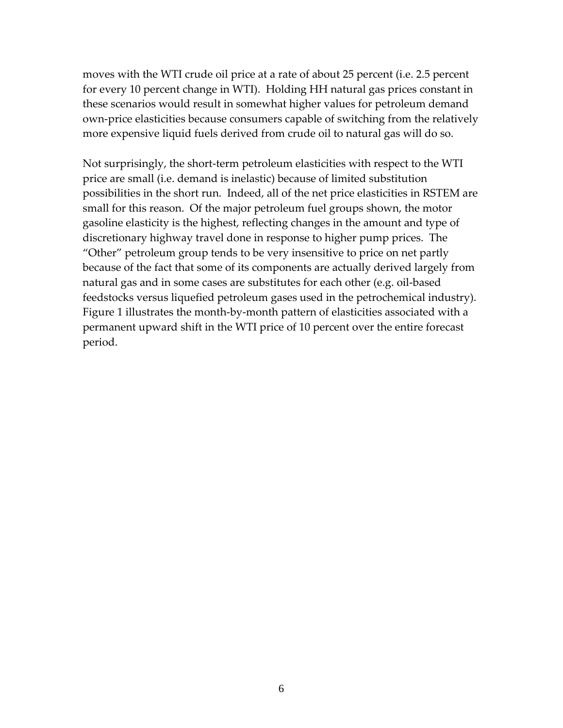moves with the WTI crude oil price at a rate of about 25 percent (i.e. 2.5 percent for every 10 percent change in WTI). Holding HH natural gas prices constant in these scenarios would result in somewhat higher values for petroleum demand own‐price elasticities because consumers capable of switching from the relatively more expensive liquid fuels derived from crude oil to natural gas will do so.

Not surprisingly, the short‐term petroleum elasticities with respect to the WTI price are small (i.e. demand is inelastic) because of limited substitution possibilities in the short run. Indeed, all of the net price elasticities in RSTEM are small for this reason. Of the major petroleum fuel groups shown, the motor gasoline elasticity is the highest, reflecting changes in the amount and type of discretionary highway travel done in response to higher pump prices. The "Other" petroleum group tends to be very insensitive to price on net partly because of the fact that some of its components are actually derived largely from natural gas and in some cases are substitutes for each other (e.g. oil‐based feedstocks versus liquefied petroleum gases used in the petrochemical industry). Figure 1 illustrates the month‐by‐month pattern of elasticities associated with a permanent upward shift in the WTI price of 10 percent over the entire forecast period.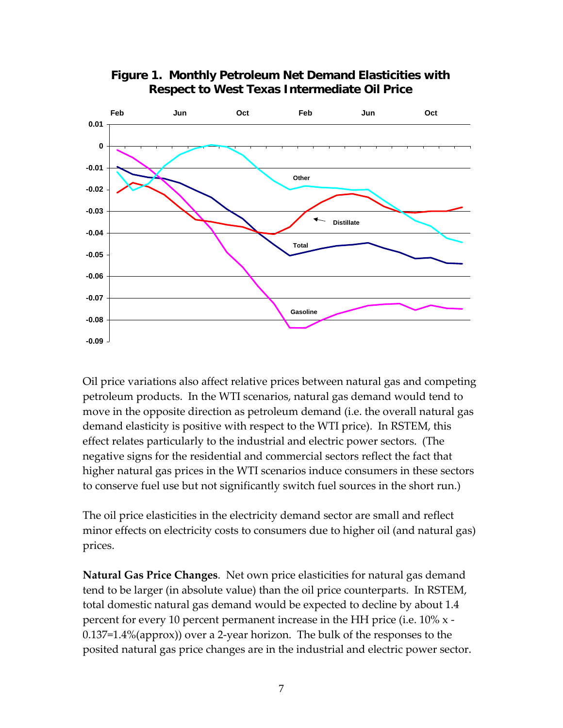<span id="page-6-0"></span>

**Figure 1. Monthly Petroleum Net Demand Elasticities with Respect to West Texas Intermediate Oil Price Respect to West Texas Intermediate Oil Price**

Oil price variations also affect relative prices between natural gas and competing petroleum products. In the WTI scenarios, natural gas demand would tend to move in the opposite direction as petroleum demand (i.e. the overall natural gas demand elasticity is positive with respect to the WTI price). In RSTEM, this effect relates particularly to the industrial and electric power sectors. (The negative signs for the residential and commercial sectors reflect the fact that higher natural gas prices in the WTI scenarios induce consumers in these sectors to conserve fuel use but not significantly switch fuel sources in the short run.)

The oil price elasticities in the electricity demand sector are small and reflect minor effects on electricity costs to consumers due to higher oil (and natural gas) prices.

**Natural Gas Price Changes**. Net own price elasticities for natural gas demand tend to be larger (in absolute value) than the oil price counterparts. In RSTEM, total domestic natural gas demand would be expected to decline by about 1.4 percent for every 10 percent permanent increase in the HH price (i.e. 10% x ‐ 0.137=1.4%(approx)) over a 2‐year horizon. The bulk of the responses to the posited natural gas price changes are in the industrial and electric power sector.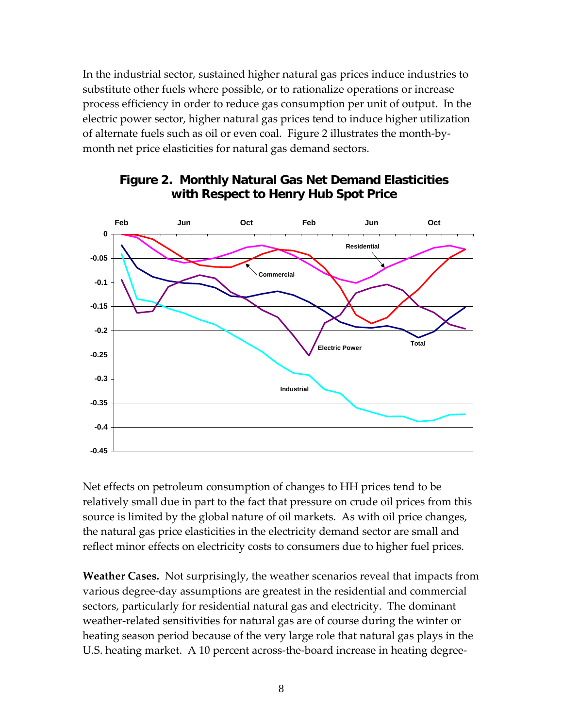<span id="page-7-0"></span>In the industrial sector, sustained higher natural gas prices induce industries to substitute other fuels where possible, or to rationalize operations or increase process efficiency in order to reduce gas consumption per unit of output. In the electric power sector, higher natural gas prices tend to induce higher utilization of alternate fuels such as oil or even coal. Figure 2 illustrates the month‐by‐ month net price elasticities for natural gas demand sectors.



## **Figure 2. Monthly Natural Gas Net Demand Figure 2. Monthly Natural Gas Net Demand Elasticities Elasticities with Respect to Henry Hub Spot Price with Respect to Henry Hub Spot Price**

Net effects on petroleum consumption of changes to HH prices tend to be relatively small due in part to the fact that pressure on crude oil prices from this source is limited by the global nature of oil markets. As with oil price changes, the natural gas price elasticities in the electricity demand sector are small and reflect minor effects on electricity costs to consumers due to higher fuel prices.

**Weather Cases.** Not surprisingly, the weather scenarios reveal that impacts from various degree‐day assumptions are greatest in the residential and commercial sectors, particularly for residential natural gas and electricity. The dominant weather-related sensitivities for natural gas are of course during the winter or heating season period because of the very large role that natural gas plays in the U.S. heating market. A 10 percent across‐the‐board increase in heating degree‐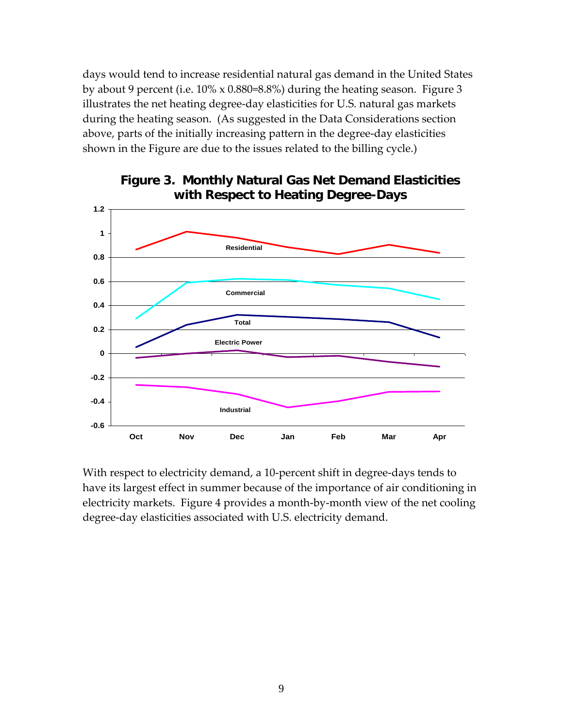days would tend to increase residential natural gas demand in the United States by about 9 percent (i.e. 10% x 0.880=8.8%) during the heating season. Figure 3 illustrates the net heating degree‐day elasticities for U.S. natural gas markets during the heating season. (As suggested in the Data Considerations section above, parts of the initially increasing pattern in the degree‐day elasticities shown in the Figure are due to the issues related to the billing cycle.)



# **Figure 3. Monthly Natural Gas Net Demand Figure 3. Monthly Natural Gas Net Demand Elasticities Elasticities with Respect to Heating Degree with Respect to Heating Degree-Days**

With respect to electricity demand, a 10-percent shift in degree-days tends to have its largest effect in summer because of the importance of air conditioning in electricity markets. Figure 4 provides a month‐by‐month view of the net cooling degree-day elasticities associated with U.S. electricity demand.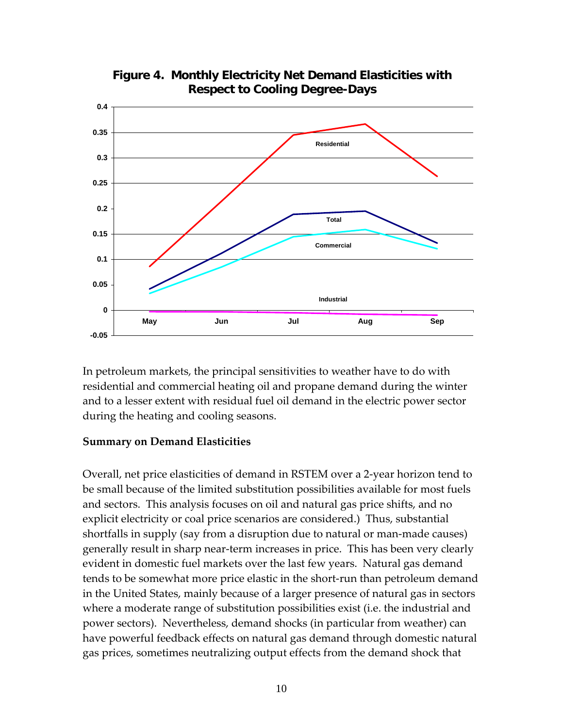<span id="page-9-0"></span>

**Figure 4. Monthly Electricity Net Demand Elasticities with Respect to Cooling Degree Respect to Cooling Degree-Days**

In petroleum markets, the principal sensitivities to weather have to do with residential and commercial heating oil and propane demand during the winter and to a lesser extent with residual fuel oil demand in the electric power sector during the heating and cooling seasons.

#### **Summary on Demand Elasticities**

Overall, net price elasticities of demand in RSTEM over a 2‐year horizon tend to be small because of the limited substitution possibilities available for most fuels and sectors. This analysis focuses on oil and natural gas price shifts, and no explicit electricity or coal price scenarios are considered.) Thus, substantial shortfalls in supply (say from a disruption due to natural or man‐made causes) generally result in sharp near‐term increases in price. This has been very clearly evident in domestic fuel markets over the last few years. Natural gas demand tends to be somewhat more price elastic in the short‐run than petroleum demand in the United States, mainly because of a larger presence of natural gas in sectors where a moderate range of substitution possibilities exist (i.e. the industrial and power sectors). Nevertheless, demand shocks (in particular from weather) can have powerful feedback effects on natural gas demand through domestic natural gas prices, sometimes neutralizing output effects from the demand shock that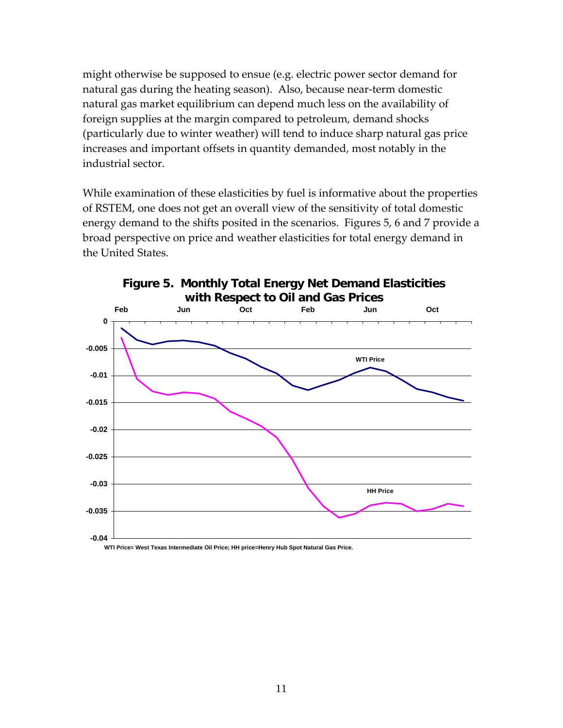might otherwise be supposed to ensue (e.g. electric power sector demand for natural gas during the heating season). Also, because near‐term domestic natural gas market equilibrium can depend much less on the availability of foreign supplies at the margin compared to petroleum, demand shocks (particularly due to winter weather) will tend to induce sharp natural gas price increases and important offsets in quantity demanded, most notably in the industrial sector.

While examination of these elasticities by fuel is informative about the properties of RSTEM, one does not get an overall view of the sensitivity of total domestic energy demand to the shifts posited in the scenarios. Figures 5, 6 and 7 provide a broad perspective on price and weather elasticities for total energy demand in the United States.



**Figure 5. Monthly Total Energy Net Demand Elasticities** 

**WTI Price= West Texas Intermediate Oil Price; HH price=Henry Hub Spot Natural Gas Price.**